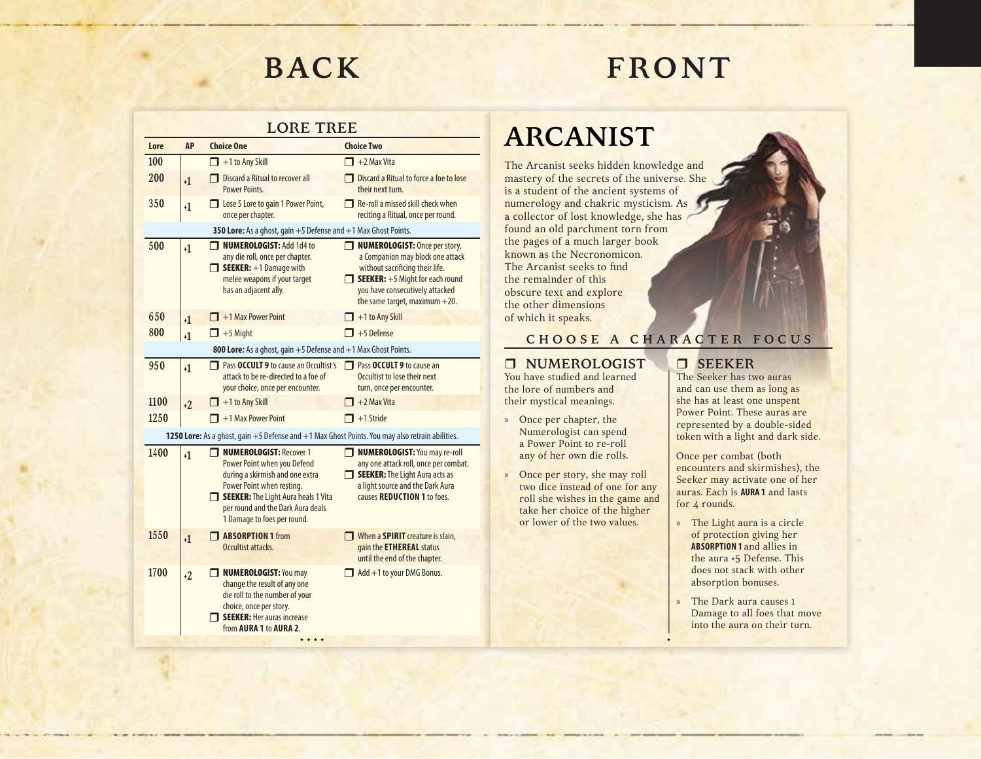# **FRONT**

#### **LORE TREE**

| 100  |                |                                                                                                                                                                                                                                               |                                                                                                                                                                                                                         |
|------|----------------|-----------------------------------------------------------------------------------------------------------------------------------------------------------------------------------------------------------------------------------------------|-------------------------------------------------------------------------------------------------------------------------------------------------------------------------------------------------------------------------|
|      |                | $+1$ to Any Skill                                                                                                                                                                                                                             | $\Box$ +2 Max Vita                                                                                                                                                                                                      |
| 200  | $+1$           | <b>Discard a Ritual to recover all</b><br><b>Power Points.</b>                                                                                                                                                                                | <b>Discard a Ritual to force a foe to lose</b><br>their next turn.                                                                                                                                                      |
| 350  | $+1$           | Lose 5 Lore to gain 1 Power Point,<br>once per chapter.                                                                                                                                                                                       | $\Box$ Re-roll a missed skill check when<br>reciting a Ritual, once per round.                                                                                                                                          |
|      |                | 350 Lore: As a ghost, gain +5 Defense and +1 Max Ghost Points.                                                                                                                                                                                |                                                                                                                                                                                                                         |
| 500  | $+1$           | <b>NUMEROLOGIST: Add 1d4 to</b><br>⊓<br>any die roll, once per chapter.<br>$\Box$ SEEKER: $+1$ Damage with<br>melee weapons if your target<br>has an adjacent ally.                                                                           | NUMEROLOGIST: Once per story,<br>a Companion may block one attack<br>without sacrificing their life.<br>$\Box$ SEEKER: $+5$ Might for each round<br>you have consecutively attacked<br>the same target, maximum $+20$ . |
| 650  | $+1$           | $\Box$ +1 Max Power Point                                                                                                                                                                                                                     | $\Box$ +1 to Any Skill                                                                                                                                                                                                  |
| 800  | $\mathsf{L}_1$ | $\Box$ +5 Might                                                                                                                                                                                                                               | $\Box$ +5 Defense                                                                                                                                                                                                       |
|      |                | 800 Lore: As a ghost, gain +5 Defense and +1 Max Ghost Points.                                                                                                                                                                                |                                                                                                                                                                                                                         |
| 950  | $+1$           | □ Pass OCCULT 9 to cause an Occultist's<br>attack to be re-directed to a foe of<br>your choice, once per encounter.                                                                                                                           | <b>Pass OCCULT 9</b> to cause an<br>Occultist to lose their next<br>turn, once per encounter.                                                                                                                           |
| 1100 | $+2$           | $\Box$ +1 to Any Skill                                                                                                                                                                                                                        | $\Box$ +2 Max Vita                                                                                                                                                                                                      |
| 1250 |                | $\Box$ +1 Max Power Point                                                                                                                                                                                                                     | $\Box$ +1 Stride                                                                                                                                                                                                        |
|      |                | 1250 Lore: As a ghost, gain +5 Defense and +1 Max Ghost Points. You may also retrain abilities.                                                                                                                                               |                                                                                                                                                                                                                         |
| 1400 | $+1$           | <b>NUMEROLOGIST: Recover 1</b><br>П<br>Power Point when you Defend<br>during a skirmish and one extra<br>Power Point when resting.<br>SEEKER: The Light Aura heals 1 Vita<br>per round and the Dark Aura deals<br>1 Damage to foes per round. | <b>NUMEROLOGIST: You may re-roll</b><br>any one attack roll, once per combat.<br>SEEKER: The Light Aura acts as<br>a light source and the Dark Aura<br>causes REDUCTION 1 to foes.                                      |
| 1550 | $+1$           | <b>ABSORPTION 1</b> from<br>Occultist attacks.                                                                                                                                                                                                | When a <b>SPIRIT</b> creature is slain,<br>gain the <b>ETHEREAL</b> status<br>until the end of the chapter.                                                                                                             |
| 1700 | $+2$           | NUMEROLOGIST: You may<br>change the result of any one<br>die roll to the number of your<br>choice, once per story.<br><b>T SEEKER: Her auras increase</b><br>from AURA 1 to AURA 2.                                                           | $\Box$ Add +1 to your DMG Bonus.                                                                                                                                                                                        |

### **ARCANIST**

The Arcanist seeks hidden knowledge and mastery of the secrets of the universe. She is a student of the ancient systems of numerology and chakric mysticism. As a collector of lost knowledge, she has found an old parchment torn from the pages of a much larger book known as the Necronomicon. The Arcanist seeks to find the remainder of this obscure text and explore the other dimensions of which it speaks.

### **C H O O S E A C H A R A C T E R F O C U S**

•

#### **NUMEROLOGIST** You have studied and learned

the lore of numbers and their mystical meanings.

- » Once per chapter, the Numerologist can spend a Power Point to re-roll any of her own die rolls.
- » Once per story, she may roll two dice instead of one for any roll she wishes in the game and take her choice of the higher or lower of the two values.

#### **SEEKER**

The Seeker has two auras and can use them as long as she has at least one unspent Power Point. These auras are represented by a double-sided token with a light and dark side.

Once per combat (both encounters and skirmishes), the Seeker may activate one of her auras. Each is **AURA 1** and lastsfor 4 rounds.

- » The Light aura is a circle of protection giving her **ABSORPTION 1** and allies in the aura +5 Defense. This does not stack with other absorption bonuses.
- » The Dark aura causes 1 Damage to all foes that move into the aura on their turn.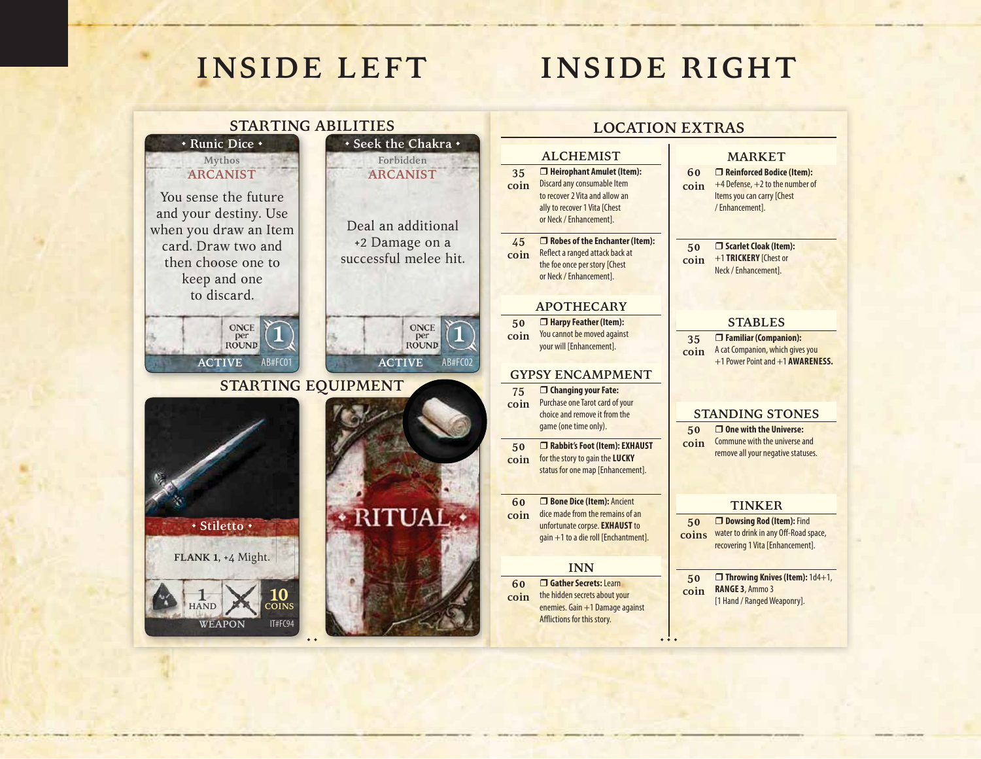## **INSIDE RIGHT**

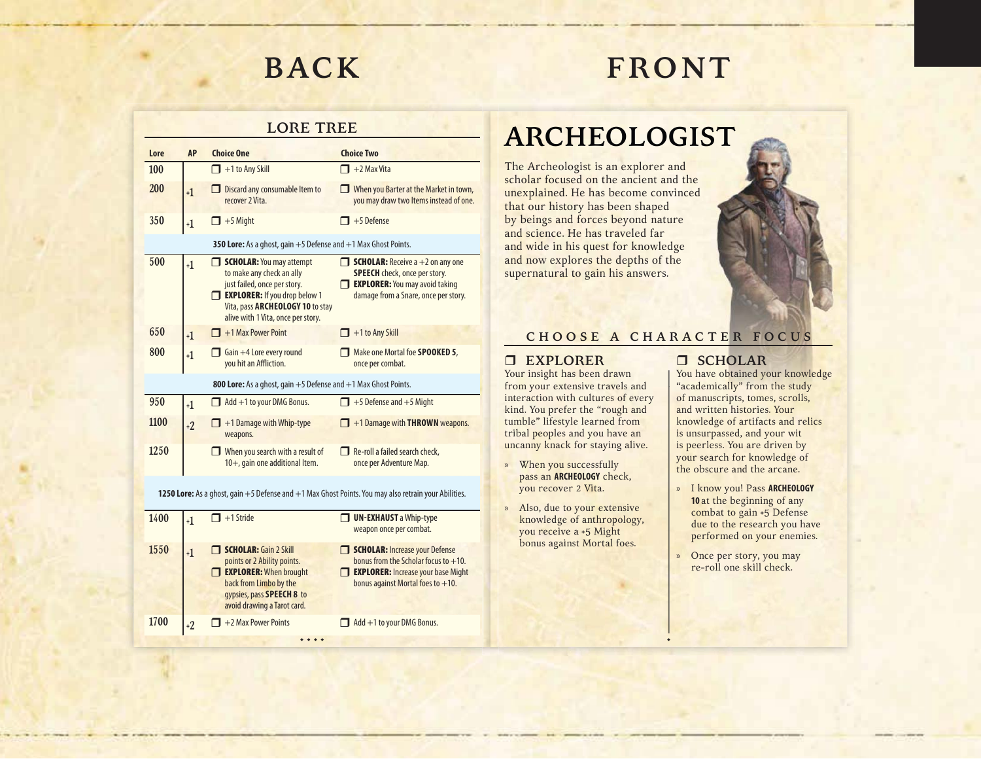## **FRONT**

#### **LORE TREE**

| Lore | <b>AP</b> | <b>Choice One</b>                                                                                                                                                                                       | <b>Choice Two</b>                                                                                                                                                   |
|------|-----------|---------------------------------------------------------------------------------------------------------------------------------------------------------------------------------------------------------|---------------------------------------------------------------------------------------------------------------------------------------------------------------------|
| 100  |           | $\Box$ +1 to Any Skill                                                                                                                                                                                  | +2 Max Vita                                                                                                                                                         |
| 200  | $+1$      | Discard any consumable Item to<br>recover 2 Vita.                                                                                                                                                       | When you Barter at the Market in town,<br>you may draw two Items instead of one.                                                                                    |
| 350  | $+1$      | $+5$ Might                                                                                                                                                                                              | $+5$ Defense                                                                                                                                                        |
|      |           | 350 Lore: As a ghost, gain $+5$ Defense and $+1$ Max Ghost Points.                                                                                                                                      |                                                                                                                                                                     |
| 500  | $+1$      | <b>SCHOLAR:</b> You may attempt<br>to make any check an ally<br>just failed, once per story.<br>EXPLORER: If you drop below 1<br>Vita, pass ARCHEOLOGY 10 to stay<br>alive with 1 Vita, once per story. | <b>SCHOLAR:</b> Receive $a + 2$ on any one<br><b>SPEECH</b> check, once per story.<br><b>EXPLORER:</b> You may avoid taking<br>damage from a Snare, once per story. |
| 650  | $+1$      | +1 Max Power Point                                                                                                                                                                                      | +1 to Any Skill                                                                                                                                                     |
| 800  | $+1$      | Gain +4 Lore every round<br>you hit an Affliction.                                                                                                                                                      | Make one Mortal foe <b>SPOOKED 5</b> ,<br>once per combat.                                                                                                          |
|      |           | <b>800 Lore:</b> As a ghost, gain $+5$ Defense and $+1$ Max Ghost Points.                                                                                                                               |                                                                                                                                                                     |
| 950  | $+1$      | Add +1 to your DMG Bonus.                                                                                                                                                                               | $\Box$ +5 Defense and +5 Might                                                                                                                                      |
| 1100 | $+2$      | +1 Damage with Whip-type<br>weapons.                                                                                                                                                                    | +1 Damage with <b>THROWN</b> weapons.                                                                                                                               |
| 1250 |           | When you search with a result of<br>10+, gain one additional Item.                                                                                                                                      | Re-roll a failed search check,<br>once per Adventure Map.                                                                                                           |

**1250 Lore:** As a ghost, gain +5 Defense and +1 Max Ghost Points. You may also retrain your Abilities.

| 1400 | +1 | $\blacksquare$ +1 Stride                                                                                                                                                           | <b>UN-EXHAUST</b> a Whip-type<br>weapon once per combat.                                                                                                              |
|------|----|------------------------------------------------------------------------------------------------------------------------------------------------------------------------------------|-----------------------------------------------------------------------------------------------------------------------------------------------------------------------|
| 1550 |    | <b>SCHOLAR: Gain 2 Skill</b><br>points or 2 Ability points.<br><b>EXPLORER: When brought</b><br>back from Limbo by the<br>gypsies, pass SPEECH 8 to<br>avoid drawing a Tarot card. | <b>SCHOLAR:</b> Increase your Defense<br>bonus from the Scholar focus to $+10$ .<br><b>EXPLORER: Increase your base Might</b><br>bonus against Mortal foes to $+10$ . |
| 1700 | +2 | $\Box$ +2 Max Power Points                                                                                                                                                         | Add +1 to your DMG Bonus.                                                                                                                                             |
|      |    |                                                                                                                                                                                    |                                                                                                                                                                       |

### **ARCHEOLOGIST**

The Archeologist is an explorer and scholar focused on the ancient and the unexplained. He has become convinced that our history has been shaped by beings and forces beyond nature and science. He has traveled far and wide in his quest for knowledge and now explores the depths of the supernatural to gain his answers.



#### **C H O O S E A C H A R A C T E R F O C U S**

•

#### **EXPLORER**

Your insight has been drawn from your extensive travels and interaction with cultures of every kind. You prefer the "rough and tumble" lifestyle learned from tribal peoples and you have an uncanny knack for staying alive.

- » When you successfully pass an **ARCHEOLOGY** check, you recover 2 Vita.
- » Also, due to your extensive knowledge of anthropology, you receive a +5 Might bonus against Mortal foes.

#### **SCHOLAR**

You have obtained your knowledge "academically" from the study of manuscripts, tomes, scrolls, and written histories. Your knowledge of artifacts and relics is unsurpassed, and your wit is peerless. You are driven by your search for knowledge of the obscure and the arcane.

- » I know you! Pass **ARCHEOLOGY <sup>10</sup>**at the beginning of any combat to gain +5 Defense due to the research you have performed on your enemies.
- » Once per story, you may re-roll one skill check.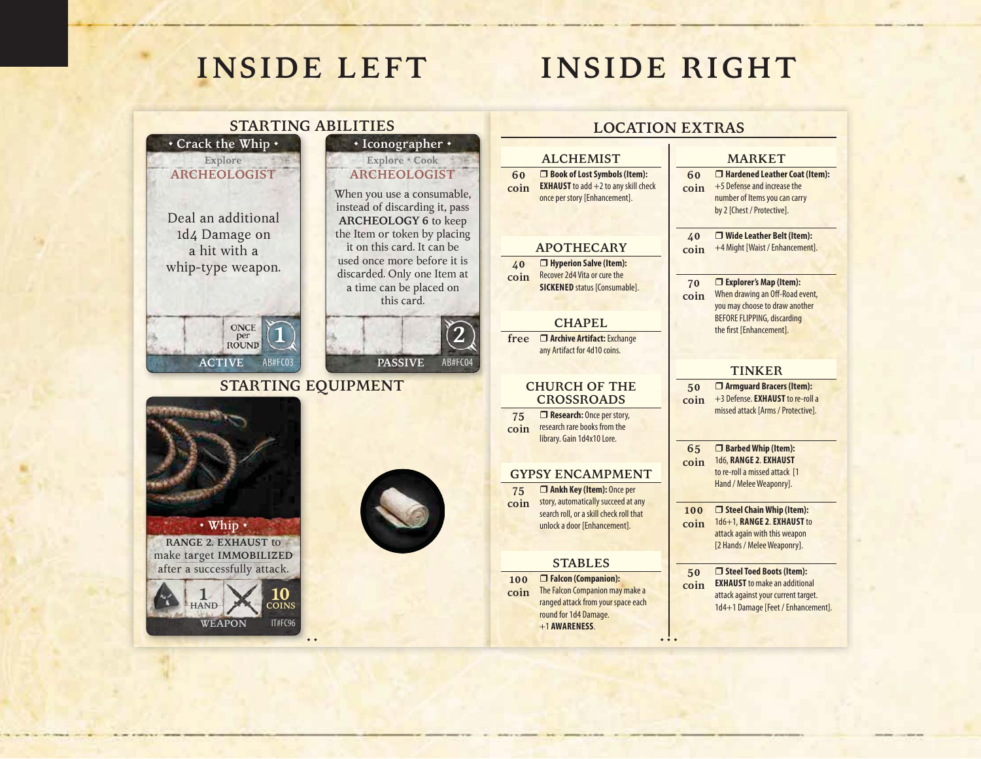**STARTING ABILITIES**

## **INSIDE RIGHT**

### **LOCATION EXTRAS**

#### **ALCHEMIST**

**60coin Book of Lost Symbols (Item): EXHAUST** to add +2 to any skill check once per story [Enhancement].

#### **APOTHECARY**

**40 coin** Recover 2d4 Vita or cure the **Hyperion Salve (Item): SICKENED** status [Consumable].

#### **CHAPEL**

**free Archive Artifact:** Exchange any Artifact for 4d10 coins.

#### **CHURCH OF THE CROSSROADS**

**75 coinResearch:** Once per story, research rare books from the library. Gain 1d4x10 Lore.

#### **GYPSY ENCAMPMENT**

**75 coin** story, automatically succeed at any **Ankh Key (Item):** Once per search roll, or a skill check roll that unlock a door [Enhancement].

#### **STABLES**

 **Falcon (Companion):** The Falcon Companion may make a ranged attack from your space each round for 1d4 Damage. +1 **AWARENESS**.

#### **MARKET**

**60coin Hardened Leather Coat (Item):** +5 Defense and increase the number of Items you can carry by 2 [Chest / Protective].

**40 coin Wide Leather Belt (Item):** +4 Might [Waist / Enhancement].

#### **70 Explorer's Map (Item):**

**coin**When drawing an Off-Road event, you may choose to draw another BEFORE FLIPPING, discarding the first [Enhancement].

#### **TINKER**

**50 coin Armguard Bracers (Item):** +3 Defense. **EXHAUST** to re-roll a missed attack [Arms / Protective].

**65 coin Barbed Whip (Item):** 1d6, **RANGE 2**. **EXHAUST** to re-roll a missed attack [1 Hand / Melee Weaponry].

**100coin Steel Chain Whip (Item):** 1d6+1, **RANGE 2**. **EXHAUST** to attack again with this weapon [2 Hands / Melee Weaponry].

**50 coin Steel Toed Boots (Item): EXHAUST** to make an additional attack against your current target. 1d4+1 Damage [Feet / Enhancement].



**• Crack the Whip •**

**Explore ARCHEOLOGIST**



**100coin**

• • •

#### used once more before it is discarded. Only one Item at a time can be placed on

AB#FC04

2

this card.

**PASSIVE**

**• Iconographer •**

**Explore \* Cook**

**COINS**

IT#FC96

• •

**WEAPON**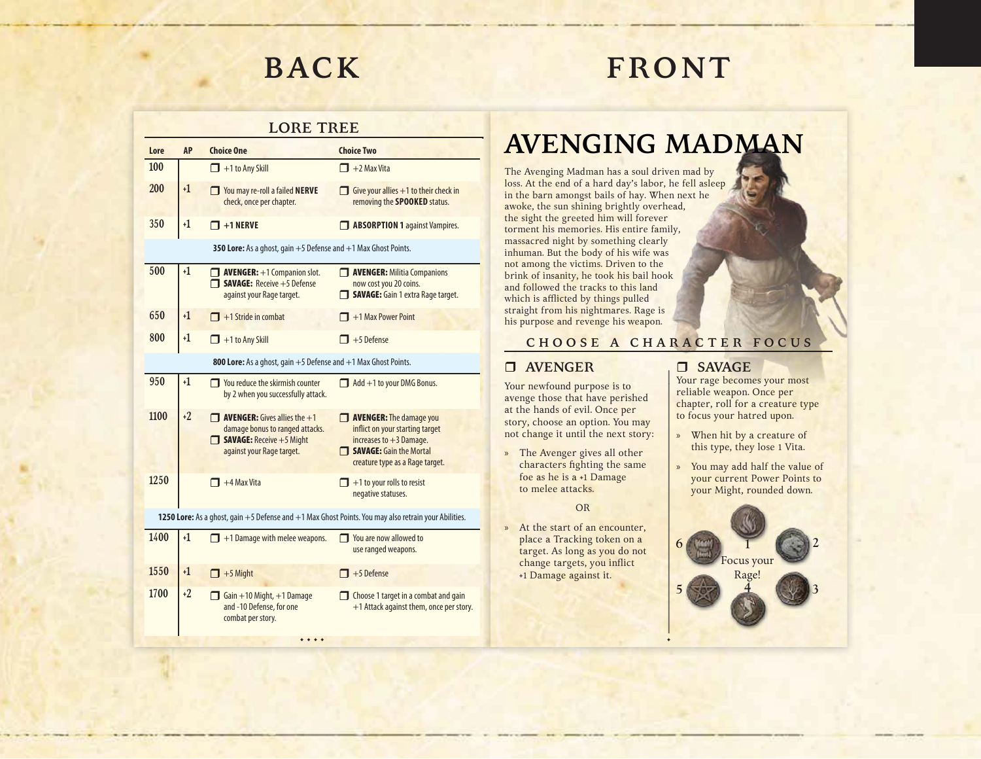## **FRONT**

### **LORE TREE**

| Lore | <b>AP</b>                                                                                                | <b>Choice One</b>                                                                                                                               | <b>Choice Two</b>                                                                                                                                     |
|------|----------------------------------------------------------------------------------------------------------|-------------------------------------------------------------------------------------------------------------------------------------------------|-------------------------------------------------------------------------------------------------------------------------------------------------------|
| 100  |                                                                                                          | $\Box$ +1 to Any Skill                                                                                                                          | $\Box$ +2 Max Vita                                                                                                                                    |
| 200  | $+1$                                                                                                     | You may re-roll a failed NERVE<br>check, once per chapter.                                                                                      | Give your allies $+1$ to their check in<br>removing the <b>SPOOKED</b> status.                                                                        |
| 350  | $+1$                                                                                                     | $\Box$ +1 NERVE                                                                                                                                 | <b>BI ABSORPTION 1 against Vampires.</b>                                                                                                              |
|      |                                                                                                          | 350 Lore: As a ghost, gain $+5$ Defense and $+1$ Max Ghost Points.                                                                              |                                                                                                                                                       |
| 500  | $+1$                                                                                                     | $\Box$ AVENGER: $+1$ Companion slot.<br>$\Box$ SAVAGE: Receive $+5$ Defense<br>against your Rage target.                                        | <b>NENGER:</b> Militia Companions<br>now cost you 20 coins.<br><b>SAVAGE:</b> Gain 1 extra Rage target.                                               |
| 650  | $+1$                                                                                                     | $\Box$ +1 Stride in combat                                                                                                                      | $\blacksquare$ +1 Max Power Point                                                                                                                     |
| 800  | $+1$                                                                                                     | $\Box$ +1 to Any Skill                                                                                                                          | $\mathbf{I}$ +5 Defense                                                                                                                               |
|      |                                                                                                          | 800 Lore: As a ghost, gain +5 Defense and +1 Max Ghost Points.                                                                                  |                                                                                                                                                       |
| 950  | $+1$                                                                                                     | $\Box$ You reduce the skirmish counter<br>by 2 when you successfully attack.                                                                    | $\Box$ Add +1 to your DMG Bonus.                                                                                                                      |
| 1100 | $+2$                                                                                                     | $\Box$ <b>AVENGER:</b> Gives allies the $+1$<br>damage bonus to ranged attacks.<br><b>SAVAGE:</b> Receive +5 Might<br>against your Rage target. | AVENGER: The damage you<br>inflict on your starting target<br>increases to $+3$ Damage.<br>SAVAGE: Gain the Mortal<br>creature type as a Rage target. |
| 1250 |                                                                                                          | $\blacksquare$ +4 Max Vita                                                                                                                      | $\blacksquare$ +1 to your rolls to resist<br>negative statuses.                                                                                       |
|      | 1250 Lore: As a ghost, gain $+5$ Defense and $+1$ Max Ghost Points. You may also retrain your Abilities. |                                                                                                                                                 |                                                                                                                                                       |
| 1400 | +1                                                                                                       | $\Box$ +1 Damage with melee weapons.                                                                                                            | $\Box$ You are now allowed to<br>use ranged weapons.                                                                                                  |
| 1550 | $+1$                                                                                                     | $\Box$ +5 Might                                                                                                                                 | $\overline{1}$ +5 Defense                                                                                                                             |
| 1700 | $+2$                                                                                                     | Gain $+10$ Might, $+1$ Damage<br>and -10 Defense, for one<br>combat per story.                                                                  | Choose 1 target in a combat and gain<br>+1 Attack against them, once per story.                                                                       |
|      |                                                                                                          |                                                                                                                                                 |                                                                                                                                                       |

### **AVENGING MADMAN**

The Avenging Madman has a soul driven mad by loss. At the end of a hard day's labor, he fell asleep in the barn amongst bails of hay. When next he awoke, the sun shining brightly overhead, the sight the greeted him will forever torment his memories. His entire family, massacred night by something clearly inhuman. But the body of his wife was not among the victims. Driven to the brink of insanity, he took his bail hook and followed the tracks to this land which is afflicted by things pulled straight from his nightmares. Rage is his purpose and revenge his weapon.

#### **C H O O S E A C H A R A C T E R F O C U S**

•

### **AVENGER**

Your newfound purpose is to avenge those that have perished at the hands of evil. Once per story, choose an option. You may not change it until the next story:

» The Avenger gives all other characters fighting the same foe as he is a +1 Damage to melee attacks.

OR

» At the start of an encounter, place a Tracking token on a target. As long as you do not change targets, you inflict +1 Damage against it.

### **SAVAGE**

Your rage becomes your most reliable weapon. Once per chapter, roll for a creature type to focus your hatred upon.

- » When hit by a creature of this type, they lose 1 Vita.
- » You may add half the value of your current Power Points to your Might, rounded down.

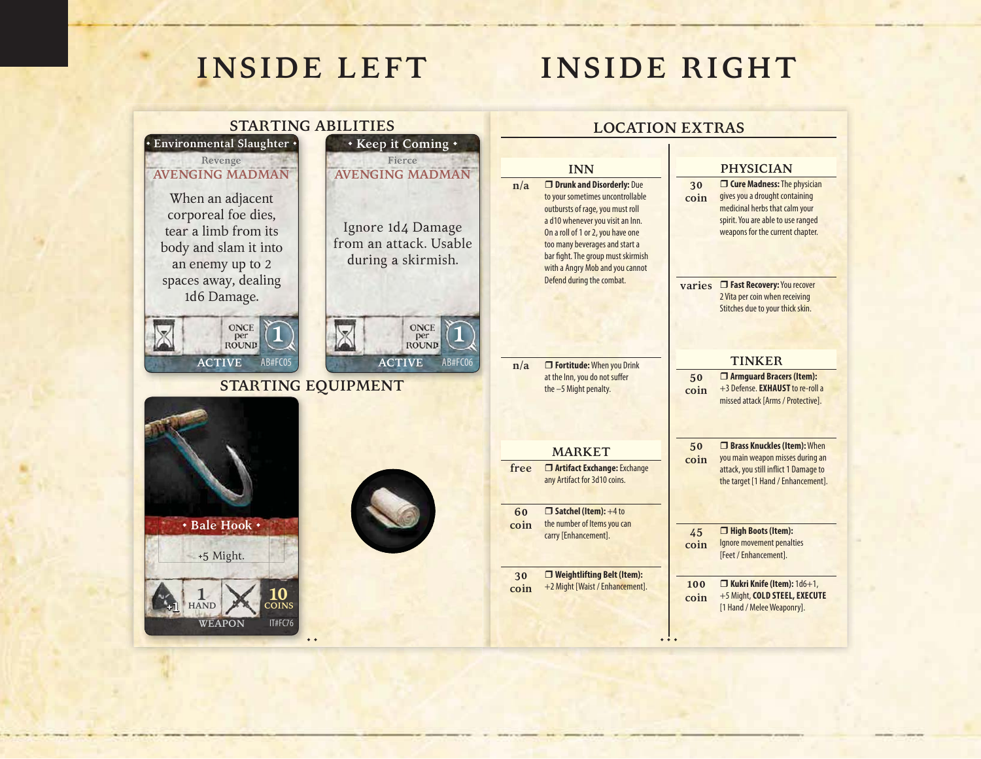## **INSIDE RIGHT**

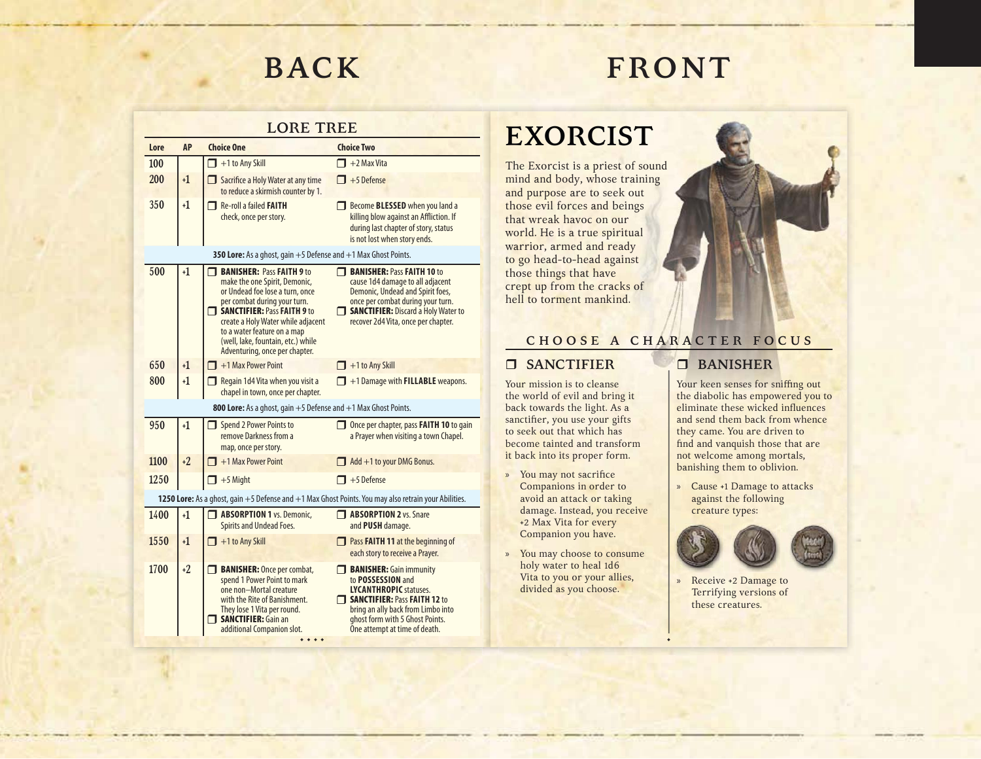# **FRONT**

#### **LORE TREE**

| LUIL<br>1 1 J L L |           |                                                                                                                                                                                                                                                                                                                  |                                                                                                                                                                                                                                       |
|-------------------|-----------|------------------------------------------------------------------------------------------------------------------------------------------------------------------------------------------------------------------------------------------------------------------------------------------------------------------|---------------------------------------------------------------------------------------------------------------------------------------------------------------------------------------------------------------------------------------|
| Lore              | <b>AP</b> | <b>Choice One</b>                                                                                                                                                                                                                                                                                                | <b>Choice Two</b>                                                                                                                                                                                                                     |
| 100               |           | $\Box$ +1 to Any Skill                                                                                                                                                                                                                                                                                           | $\Box$ +2 Max Vita                                                                                                                                                                                                                    |
| 200               | $+1$      | Sacrifice a Holy Water at any time<br>to reduce a skirmish counter by 1.                                                                                                                                                                                                                                         | $\Box$ +5 Defense                                                                                                                                                                                                                     |
| 350               | $+1$      | Re-roll a failed <b>FAITH</b><br>check, once per story.                                                                                                                                                                                                                                                          | Become <b>BLESSED</b> when you land a<br>killing blow against an Affliction. If<br>during last chapter of story, status<br>is not lost when story ends.                                                                               |
|                   |           | 350 Lore: As a ghost, gain $+5$ Defense and $+1$ Max Ghost Points.                                                                                                                                                                                                                                               |                                                                                                                                                                                                                                       |
| 500               | $+1$      | <b>BANISHER: Pass FAITH 9 to</b><br>make the one Spirit, Demonic,<br>or Undead foe lose a turn, once<br>per combat during your turn.<br>SANCTIFIER: Pass FAITH 9 to<br>create a Holy Water while adjacent<br>to a water feature on a map<br>(well, lake, fountain, etc.) while<br>Adventuring, once per chapter. | <b>BANISHER: Pass FAITH 10 to</b><br>cause 1d4 damage to all adjacent<br>Demonic, Undead and Spirit foes,<br>once per combat during your turn.<br>SANCTIFIER: Discard a Holy Water to<br>recover 2d4 Vita, once per chapter.          |
| 650               | $+1$      | $\Box$ +1 Max Power Point                                                                                                                                                                                                                                                                                        | $\Box$ +1 to Any Skill                                                                                                                                                                                                                |
| 800               | $+1$      | Regain 1d4 Vita when you visit a<br>chapel in town, once per chapter.                                                                                                                                                                                                                                            | $\Box$ +1 Damage with <b>FILLABLE</b> weapons.                                                                                                                                                                                        |
|                   |           | <b>800 Lore:</b> As a ghost, gain $+5$ Defense and $+1$ Max Ghost Points.                                                                                                                                                                                                                                        |                                                                                                                                                                                                                                       |
| 950               | $+1$      | Spend 2 Power Points to<br>remove Darkness from a<br>map, once per story.                                                                                                                                                                                                                                        | Once per chapter, pass <b>FAITH 10</b> to gain<br>a Prayer when visiting a town Chapel.                                                                                                                                               |
| 1100              | $+2$      | $\Box$ +1 Max Power Point                                                                                                                                                                                                                                                                                        | $\Box$ Add +1 to your DMG Bonus.                                                                                                                                                                                                      |
| 1250              |           | $\mathbf{I}$ +5 Might                                                                                                                                                                                                                                                                                            | $\Box$ +5 Defense                                                                                                                                                                                                                     |
|                   |           |                                                                                                                                                                                                                                                                                                                  | 1250 Lore: As a ghost, gain +5 Defense and +1 Max Ghost Points. You may also retrain your Abilities.                                                                                                                                  |
| 1400              | $+1$      | <b>ABSORPTION 1 vs. Demonic,</b><br><b>Spirits and Undead Foes.</b>                                                                                                                                                                                                                                              | <b>T</b> ABSORPTION 2 vs. Snare<br>and PUSH damage.                                                                                                                                                                                   |
| 1550              | $+1$      | $\Box$ +1 to Any Skill                                                                                                                                                                                                                                                                                           | <b>Pass FAITH 11 at the beginning of</b><br>each story to receive a Prayer.                                                                                                                                                           |
| 1700              | $+2$      | <b>BANISHER:</b> Once per combat,<br>┒<br>spend 1 Power Point to mark<br>one non-Mortal creature<br>with the Rite of Banishment.<br>They lose 1 Vita per round.<br><b>SANCTIFIER: Gain an</b><br>additional Companion slot.                                                                                      | <b>BANISHER:</b> Gain immunity<br>to POSSESSION and<br><b>LYCANTHROPIC statuses.</b><br>$\Box$ SANCTIFIER: Pass FAITH 12 to<br>bring an ally back from Limbo into<br>ghost form with 5 Ghost Points.<br>One attempt at time of death. |
|                   |           |                                                                                                                                                                                                                                                                                                                  |                                                                                                                                                                                                                                       |

### **EXORCIST**

The Exorcist is a priest of sound mind and body, whose training and purpose are to seek out those evil forces and beings that wreak havoc on our world. He is a true spiritual warrior, armed and ready to go head-to-head against those things that have crept up from the cracks of hell to torment mankind.



### **C H O O S E A C H A R A C T E R F O C U S**

•

»

#### **SANCTIFIER**

Your mission is to cleanse the world of evil and bring it back towards the light. As a sanctifier, you use your gifts to seek out that which has become tainted and transform it back into its proper form.

- » You may not sacrifice Companions in order to avoid an attack or taking damage. Instead, you receive +2 Max Vita for every Companion you have.
- » You may choose to consume holy water to heal 1d6 Vita to you or your allies, divided as you choose.

### **BANISHER**

Your keen senses for sniffing out the diabolic has empowered you to eliminate these wicked influences and send them back from whence they came. You are driven to find and vanquish those that are not welcome among mortals, banishing them to oblivion.

» Cause +1 Damage to attacks against the following creature types:



 Receive +2 Damage to Terrifying versions of these creatures.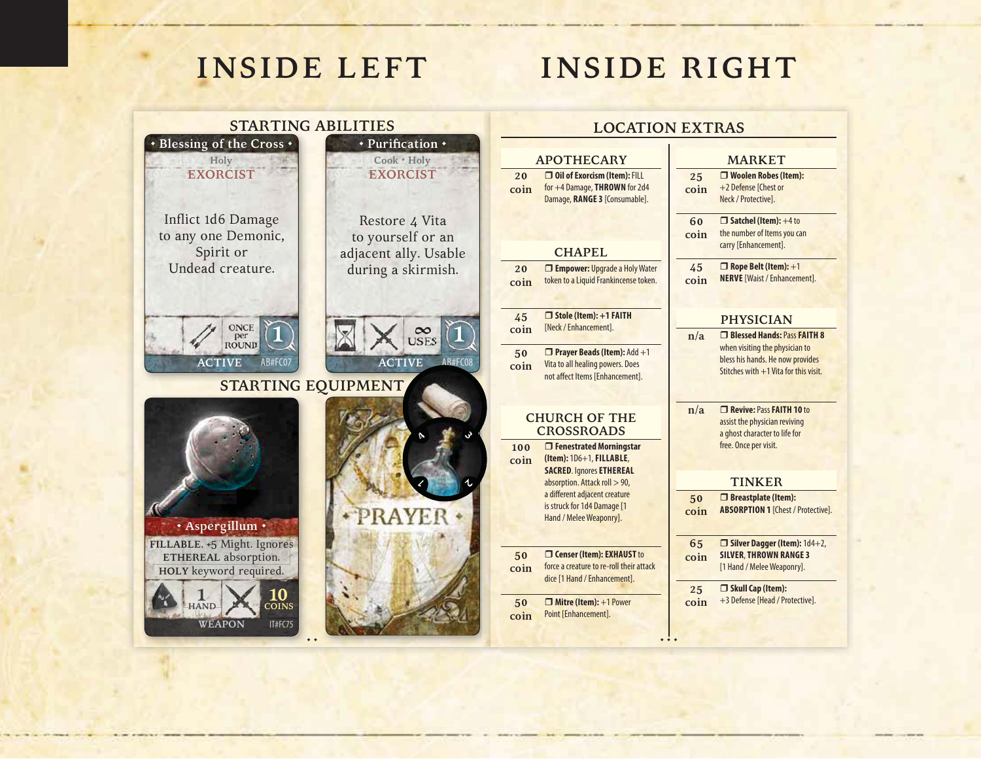## **INSIDE RIGHT**

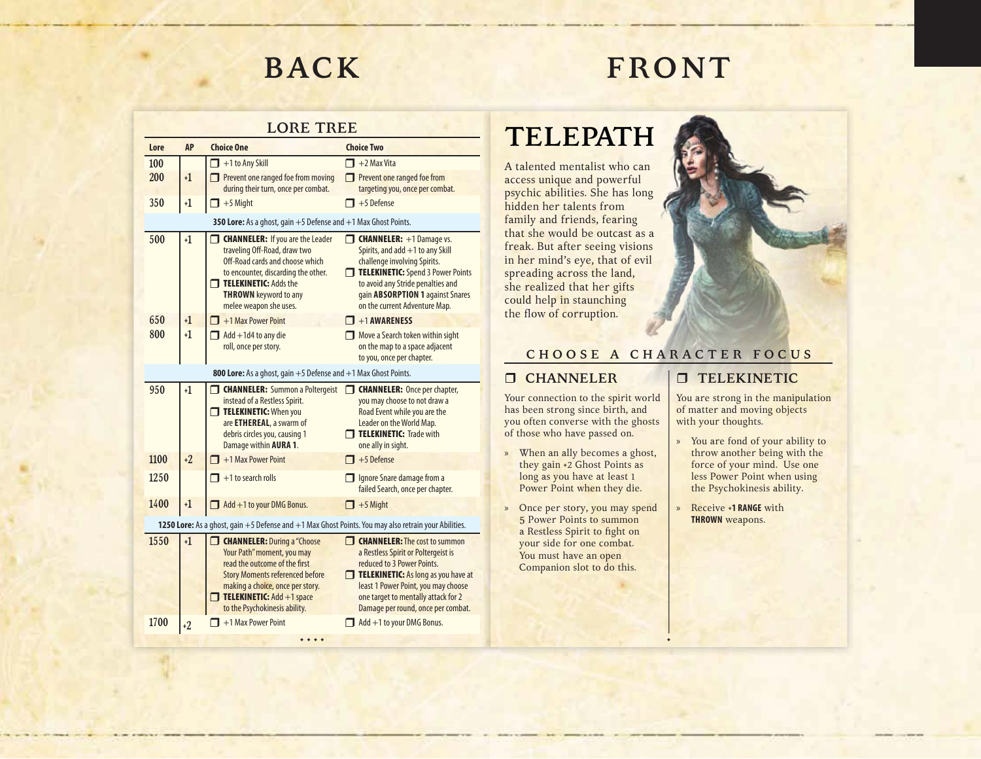## **FRONT**

#### **LORE TREE**

| Lore                                                                                                 | <b>AP</b> | <b>Choice One</b>                                                                                                                                                                                                                                      | <b>Choice Two</b>                                                                                                                                                                                                                                                    |
|------------------------------------------------------------------------------------------------------|-----------|--------------------------------------------------------------------------------------------------------------------------------------------------------------------------------------------------------------------------------------------------------|----------------------------------------------------------------------------------------------------------------------------------------------------------------------------------------------------------------------------------------------------------------------|
| 100                                                                                                  |           | $\Box$ +1 to Any Skill                                                                                                                                                                                                                                 | $\Box$ +2 Max Vita                                                                                                                                                                                                                                                   |
| 200                                                                                                  | $+1$      | Prevent one ranged foe from moving<br>during their turn, once per combat.                                                                                                                                                                              | Prevent one ranged foe from<br>targeting you, once per combat.                                                                                                                                                                                                       |
| 350                                                                                                  | $+1$      | $\Box$ +5 Might                                                                                                                                                                                                                                        | $\blacksquare$ +5 Defense                                                                                                                                                                                                                                            |
|                                                                                                      |           | 350 Lore: As a ghost, gain +5 Defense and +1 Max Ghost Points.                                                                                                                                                                                         |                                                                                                                                                                                                                                                                      |
| 500                                                                                                  | $+1$      | <b>CHANNELER:</b> If you are the Leader<br>traveling Off-Road, draw two<br>Off-Road cards and choose which<br>to encounter, discarding the other.<br><b>TELEKINETIC: Adds the</b><br><b>THROWN</b> keyword to any<br>melee weapon she uses.            | <b>CHANNELER:</b> +1 Damage vs.<br>Spirits, and add +1 to any Skill<br>challenge involving Spirits.<br>TELEKINETIC: Spend 3 Power Points<br>to avoid any Stride penalties and<br>gain <b>ABSORPTION 1</b> against Snares<br>on the current Adventure Map.            |
| 650                                                                                                  | $+1$      | $\Box$ +1 Max Power Point                                                                                                                                                                                                                              | $\blacksquare$ +1 AWARENESS                                                                                                                                                                                                                                          |
| 800                                                                                                  | $+1$      | $\Box$ Add +1d4 to any die<br>roll, once per story.                                                                                                                                                                                                    | Move a Search token within sight<br>on the map to a space adjacent<br>to you, once per chapter.                                                                                                                                                                      |
|                                                                                                      |           | 800 Lore: As a ghost, gain $+5$ Defense and $+1$ Max Ghost Points.                                                                                                                                                                                     |                                                                                                                                                                                                                                                                      |
| 950                                                                                                  | $+1$      | <b>CHANNELER:</b> Summon a Poltergeist<br>instead of a Restless Spirit.<br>$\Box$ TELEKINETIC: When you<br>are ETHEREAL, a swarm of<br>debris circles you, causing 1<br>Damage within AURA 1.                                                          | <b>CHANNELER:</b> Once per chapter,<br>you may choose to not draw a<br>Road Event while you are the<br>Leader on the World Map.<br>TELEKINETIC: Trade with<br>one ally in sight.                                                                                     |
| 1100                                                                                                 | $+2$      | $\Box$ +1 Max Power Point                                                                                                                                                                                                                              | $\Box$ +5 Defense                                                                                                                                                                                                                                                    |
| 1250                                                                                                 |           | $\Box$ +1 to search rolls                                                                                                                                                                                                                              | Ignore Snare damage from a<br>failed Search, once per chapter.                                                                                                                                                                                                       |
| 1400                                                                                                 | $+1$      | Add +1 to your DMG Bonus.                                                                                                                                                                                                                              | $\Box$ +5 Might                                                                                                                                                                                                                                                      |
| 1250 Lore: As a ghost, gain +5 Defense and +1 Max Ghost Points. You may also retrain your Abilities. |           |                                                                                                                                                                                                                                                        |                                                                                                                                                                                                                                                                      |
| 1550                                                                                                 | $+1$      | <b>CHANNELER: During a "Choose</b><br>Your Path" moment, you may<br>read the outcome of the first<br><b>Story Moments referenced before</b><br>making a choice, once per story.<br><b>TELEKINETIC:</b> Add $+1$ space<br>to the Psychokinesis ability. | <b>CHANNELER:</b> The cost to summon<br>a Restless Spirit or Poltergeist is<br>reduced to 3 Power Points.<br>TELEKINETIC: As long as you have at<br>least 1 Power Point, you may choose<br>one target to mentally attack for 2<br>Damage per round, once per combat. |
| 1700                                                                                                 | $+2$      | $\blacksquare$ +1 Max Power Point                                                                                                                                                                                                                      | Add +1 to your DMG Bonus.                                                                                                                                                                                                                                            |
|                                                                                                      |           |                                                                                                                                                                                                                                                        |                                                                                                                                                                                                                                                                      |

### **TELEPATH**

A talented mentalist who can access unique and powerful psychic abilities. She has long hidden her talents from family and friends, fearing that she would be outcast as a freak. But after seeing visions in her mind's eye, that of evil spreading across the land, she realized that her gifts could help in staunching the flow of corruption.



### **C H O O S E A C H A R A C T E R F O C U S**

•

#### **CHANNELER**

Your connection to the spirit world has been strong since birth, and you often converse with the ghosts of those who have passed on.

- » When an ally becomes a ghost, they gain +2 Ghost Points as long as you have at least 1 Power Point when they die.
- » Once per story, you may spend 5 Power Points to summon a Restless Spirit to fight on your side for one combat. You must have an open Companion slot to do this.

### **TELEKINETIC**

You are strong in the manipulation of matter and moving objects with your thoughts.

- » You are fond of your ability to throw another being with the force of your mind. Use one less Power Point when using the Psychokinesis ability.
- Receive +**1 RANGE** with **THROWN** weapons.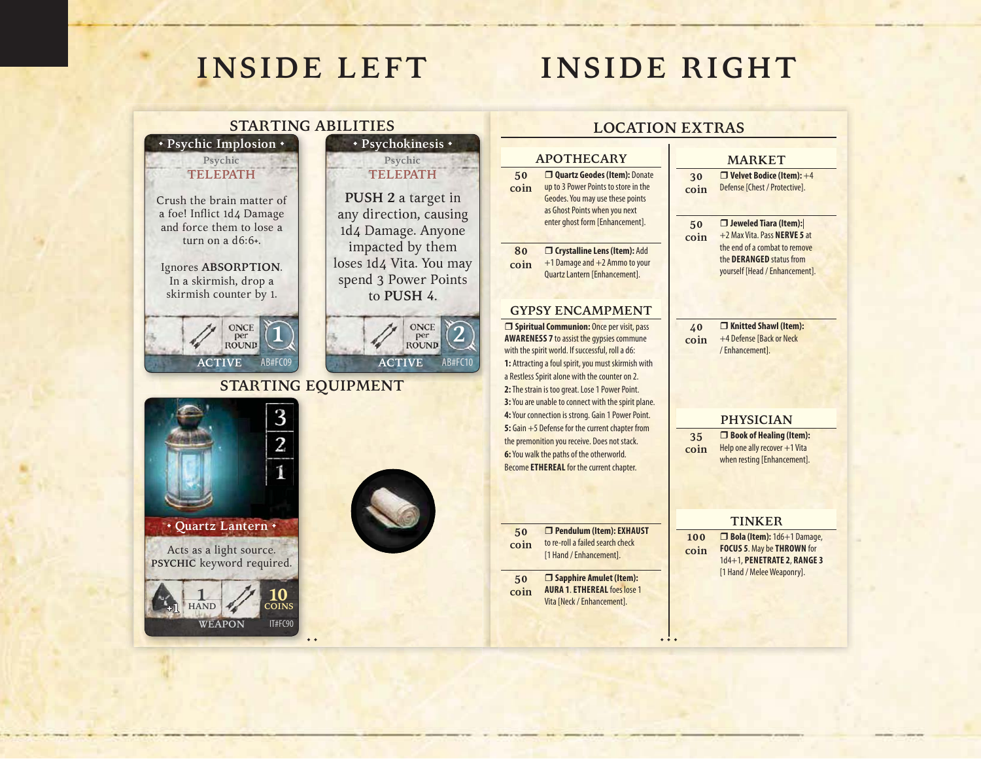• •

**+1**

1 **HAND**

## **INSIDE RIGHT**



• • •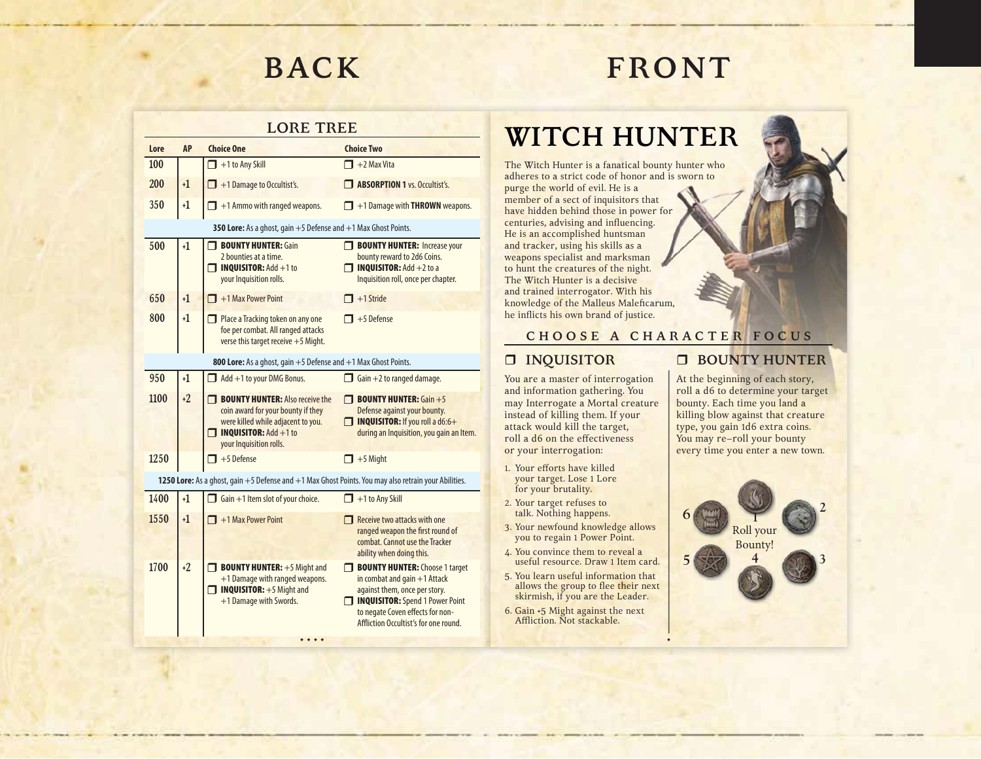# **FRONT**

#### **LORE TREE**

| Lore | <b>AP</b>                                                          | <b>Choice One</b>                                                                                                                                                             | <b>Choice Two</b>                                                                                                                                                                                                 |
|------|--------------------------------------------------------------------|-------------------------------------------------------------------------------------------------------------------------------------------------------------------------------|-------------------------------------------------------------------------------------------------------------------------------------------------------------------------------------------------------------------|
| 100  |                                                                    | $\Box$ +1 to Any Skill                                                                                                                                                        | $\blacksquare$ +2 Max Vita                                                                                                                                                                                        |
| 200  | $+1$                                                               | $\blacksquare$ +1 Damage to Occultist's.                                                                                                                                      | <b>ABSORPTION 1 vs. Occultist's.</b>                                                                                                                                                                              |
| 350  | $+1$                                                               | $\Box$ +1 Ammo with ranged weapons.                                                                                                                                           | $\Box$ +1 Damage with <b>THROWN</b> weapons.                                                                                                                                                                      |
|      |                                                                    | 350 Lore: As a ghost, gain +5 Defense and +1 Max Ghost Points.                                                                                                                |                                                                                                                                                                                                                   |
| 500  | $+1$                                                               | <b>BOUNTY HUNTER: Gain</b><br>2 bounties at a time.<br>$\Box$ INQUISITOR: Add +1 to<br>your Inquisition rolls.                                                                | <b>BOUNTY HUNTER: Increase your</b><br>bounty reward to 2d6 Coins.<br>$\Box$ INQUISITOR: Add +2 to a<br>Inquisition roll, once per chapter.                                                                       |
| 650  | $+1$                                                               | $\blacksquare$ +1 Max Power Point                                                                                                                                             | $+1$ Stride                                                                                                                                                                                                       |
| 800  | $+1$                                                               | Place a Tracking token on any one<br>foe per combat. All ranged attacks<br>verse this target receive $+5$ Might.                                                              | $\blacksquare$ +5 Defense                                                                                                                                                                                         |
|      | 800 Lore: As a ghost, gain $+5$ Defense and $+1$ Max Ghost Points. |                                                                                                                                                                               |                                                                                                                                                                                                                   |
| 950  | $+1$                                                               | $\Box$ Add +1 to your DMG Bonus.                                                                                                                                              | $\Box$ Gain +2 to ranged damage.                                                                                                                                                                                  |
| 1100 | $+2$                                                               | <b>BOUNTY HUNTER:</b> Also receive the<br>coin award for your bounty if they<br>were killed while adjacent to you.<br>$\Box$ INQUISITOR: Add +1 to<br>your Inquisition rolls. | <b>THE BOUNTY HUNTER:</b> Gain $+5$<br>Defense against your bounty.<br>$\Box$ INQUISITOR: If you roll a d6:6+<br>during an Inquisition, you gain an Item.                                                         |
| 1250 |                                                                    | $\blacksquare$ +5 Defense                                                                                                                                                     | $\Box$ +5 Might                                                                                                                                                                                                   |
|      |                                                                    | 1250 Lore: As a ghost, gain +5 Defense and +1 Max Ghost Points. You may also retrain your Abilities.                                                                          |                                                                                                                                                                                                                   |
| 1400 | $+1$                                                               | $\Box$ Gain +1 Item slot of your choice.                                                                                                                                      | $\Box$ +1 to Any Skill                                                                                                                                                                                            |
| 1550 | $+1$                                                               | $\Box$ +1 Max Power Point                                                                                                                                                     | $\Box$ Receive two attacks with one                                                                                                                                                                               |
|      |                                                                    |                                                                                                                                                                               | ranged weapon the first round of<br>combat. Cannot use the Tracker<br>ability when doing this.                                                                                                                    |
| 1700 | $+2$                                                               | <b>BOUNTY HUNTER:</b> $+5$ Might and<br>+1 Damage with ranged weapons.<br>$\Box$ INQUISITOR: $+5$ Might and<br>+1 Damage with Swords.                                         | BOUNTY HUNTER: Choose 1 target<br>in combat and gain $+1$ Attack<br>against them, once per story.<br>INQUISITOR: Spend 1 Power Point<br>to negate Coven effects for non-<br>Affliction Occultist's for one round. |

• • • •

### **WITCH HUNTER**

The Witch Hunter is a fanatical bounty hunter who adheres to a strict code of honor and is sworn to purge the world of evil. He is a member of a sect of inquisitors that have hidden behind those in power for centuries, advising and influencing. He is an accomplished huntsman and tracker, using his skills as a weapons specialist and marksman to hunt the creatures of the night. The Witch Hunter is a decisive and trained interrogator. With his knowledge of the Malleus Maleficarum, he inflicts his own brand of justice.

### **C H O O S E A C H A R A C T E R F O C U S**

•

### **INQUISITOR**

You are a master of interrogation and information gathering. You may Interrogate a Mortal creature instead of killing them. If your attack would kill the target, roll a d6 on the effectiveness or your interrogation:

- 1. Your efforts have killed your target. Lose 1 Lore for your brutality.
- 2. Your target refuses to talk. Nothing happens.
- 3. Your newfound knowledge allows you to regain 1 Power Point.
- 4. You convince them to reveal a useful resource. Draw 1 Item card.
- 5. You learn useful information that allows the group to flee their next skirmish, if you are the Leader.
- 6. Gain +5 Might against the next Affliction. Not stackable.

### **BOUNTY HUNTER**

At the beginning of each story, roll a d6 to determine your target bounty. Each time you land a killing blow against that creature type, you gain 1d6 extra coins. You may re–roll your bounty every time you enter a new town.